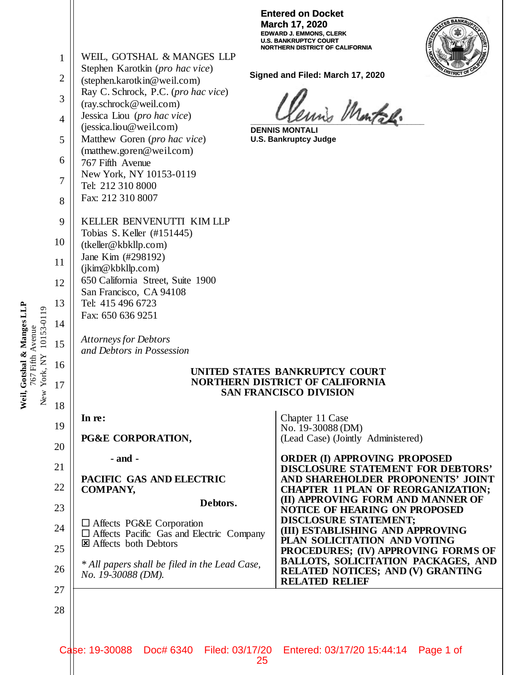|            |                |                                                                                    | ונקופט טוו דעס<br>March 17, 2020<br><b>EDWARD J. EMMONS, CLERK</b><br>U.S. BANKRUPTCY COURT |  |  |  |
|------------|----------------|------------------------------------------------------------------------------------|---------------------------------------------------------------------------------------------|--|--|--|
|            | 1              | WEIL, GOTSHAL & MANGES LLP                                                         | NORTHERN DISTRICT OF CALIFORNIA                                                             |  |  |  |
|            |                | Stephen Karotkin (pro hac vice)                                                    | Signed and Filed: March 17, 2020                                                            |  |  |  |
|            | $\overline{2}$ | (stephen.karotkin@weil.com)<br>Ray C. Schrock, P.C. (pro hac vice)                 |                                                                                             |  |  |  |
|            | 3              | (ray.schrock@weil.com)                                                             |                                                                                             |  |  |  |
|            | 4              | Jessica Liou (pro hac vice)                                                        | in Martal.                                                                                  |  |  |  |
|            | 5              | (jessica.liou@weil.com)<br>Matthew Goren (pro hac vice)                            | <b>DENNIS MONTALI</b><br><b>U.S. Bankruptcy Judge</b>                                       |  |  |  |
|            |                | (matthew.goren@weil.com)                                                           |                                                                                             |  |  |  |
|            | 6              | 767 Fifth Avenue<br>New York, NY 10153-0119                                        |                                                                                             |  |  |  |
|            | $\overline{7}$ | Tel: 212 310 8000                                                                  |                                                                                             |  |  |  |
|            | 8              | Fax: 212 310 8007                                                                  |                                                                                             |  |  |  |
|            | 9              | KELLER BENVENUTTI KIM LLP                                                          |                                                                                             |  |  |  |
|            | 10             | Tobias S. Keller (#151445)                                                         |                                                                                             |  |  |  |
|            |                | (tkeller@kbkllp.com)<br>Jane Kim (#298192)                                         |                                                                                             |  |  |  |
|            | 11             | (jkim@kbkllp.com)                                                                  |                                                                                             |  |  |  |
|            | 12             | 650 California Street, Suite 1900                                                  |                                                                                             |  |  |  |
|            | 13             | San Francisco, CA 94108<br>Tel: 415 496 6723                                       |                                                                                             |  |  |  |
|            | 14             | Fax: 650 636 9251                                                                  |                                                                                             |  |  |  |
| 10153-0119 |                | <b>Attorneys for Debtors</b>                                                       |                                                                                             |  |  |  |
|            | 15             | and Debtors in Possession                                                          |                                                                                             |  |  |  |
|            | 16             |                                                                                    | UNITED STATES BANKRUPTCY COURT                                                              |  |  |  |
| w York, NY | 17             | <b>NORTHERN DISTRICT OF CALIFORNIA</b><br><b>SAN FRANCISCO DIVISION</b>            |                                                                                             |  |  |  |
| ž          | 18             |                                                                                    |                                                                                             |  |  |  |
|            | 19             | In re:                                                                             | Chapter 11 Case<br>No. 19-30088 (DM)                                                        |  |  |  |
|            | 20             | PG&E CORPORATION,                                                                  | (Lead Case) (Jointly Administered)                                                          |  |  |  |
|            |                | $-$ and $-$                                                                        | <b>ORDER (I) APPROVING PROPOSED</b>                                                         |  |  |  |
|            | 21             | PACIFIC GAS AND ELECTRIC                                                           | <b>DISCLOSURE STATEMENT FOR DEBTORS'</b><br>AND SHAREHOLDER PROPONENTS' JOINT               |  |  |  |
|            | 22             | <b>COMPANY,</b>                                                                    | <b>CHAPTER 11 PLAN OF REORGANIZATION;</b><br>(II) APPROVING FORM AND MANNER OF              |  |  |  |
|            | 23             | Debtors.                                                                           | <b>NOTICE OF HEARING ON PROPOSED</b>                                                        |  |  |  |
|            | 24             | $\Box$ Affects PG&E Corporation<br>$\Box$ Affects Pacific Gas and Electric Company | <b>DISCLOSURE STATEMENT;</b><br>(III) ESTABLISHING AND APPROVING                            |  |  |  |
|            | 25             | <b>El</b> Affects both Debtors                                                     | PLAN SOLICITATION AND VOTING                                                                |  |  |  |
|            |                | * All papers shall be filed in the Lead Case,                                      | PROCEDURES; (IV) APPROVING FORMS OF<br><b>BALLOTS, SOLICITATION PACKAGES, AND</b>           |  |  |  |
|            | 26             | No. 19-30088 (DM).                                                                 | RELATED NOTICES; AND (V) GRANTING<br><b>RELATED RELIEF</b>                                  |  |  |  |
|            | 27             |                                                                                    |                                                                                             |  |  |  |
|            | 28             |                                                                                    |                                                                                             |  |  |  |
|            |                |                                                                                    |                                                                                             |  |  |  |
|            |                | Case: 19-30088                                                                     | Doc# 6340 Filed: 03/17/20 Entered: 03/17/20 15:44:14<br>Page 1 of                           |  |  |  |
|            |                |                                                                                    | 25                                                                                          |  |  |  |

**Entered on Docket** 

Weil, Gotshal & Manges LLP<br>767 Fifth Avenue **Weil, Gotshal & Manges LLP** 767 Fifth Avenue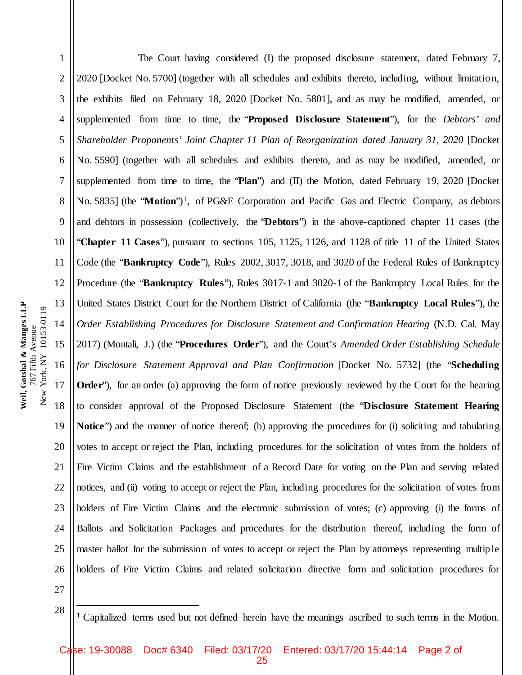Weil, Gotshal & Manges LLP **Weil, Gotshal & Manges LLP** New York, NY 10153-0119 New York, NY 10153-0119 767 Fifth Avenue 767 Fifth Avenue

1 2 3 4 5 6 7 8 9 10 11 12 13 14 15 16 17 18 19 20 21 22 23 24 25 26 The Court having considered (I) the proposed disclosure statement, dated February 7, 2020 [Docket No. 5700] (together with all schedules and exhibits thereto, including, without limitatio n, the exhibits filed on February 18, 2020 [Docket No. 5801], and as may be modified, amended, or supplemented from time to time, the "**Proposed Disclosure Statement**"), for the *Debtors' and Shareholder Proponents' Joint Chapter 11 Plan of Reorganization dated January 31, 2020* [Docket No. 5590] (together with all schedules and exhibits thereto, and as may be modified, amended, or supplemented from time to time, the "**Plan**") and (II) the Motion, dated February 19, 2020 [Docket No. 5835] (the "**Motion**")<sup>1</sup>, of PG&E Corporation and Pacific Gas and Electric Company, as debtors and debtors in possession (collectively, the "**Debtors**") in the above-captioned chapter 11 cases (the "**Chapter 11 Cases**"), pursuant to sections 105, 1125, 1126, and 1128 of title 11 of the United States Code (the "**Bankruptcy Code**"), Rules 2002, 3017, 3018, and 3020 of the Federal Rules of Bankruptcy Procedure (the "**Bankruptcy Rules**"), Rules 3017-1 and 3020-1 of the Bankruptcy Local Rules for the United States District Court for the Northern District of California (the "**Bankruptcy Local Rules**"), the *Order Establishing Procedures for Disclosure Statement and Confirmation Hearing* (N.D. Cal. May 2017) (Montali, J.) (the "**Procedures Order**"), and the Court's *Amended Order Establishing Schedule for Disclosure Statement Approval and Plan Confirmation [Docket No. 5732] (the "Scheduling* **Order**"), for an order (a) approving the form of notice previously reviewed by the Court for the hearing to consider approval of the Proposed Disclosure Statement (the "**Disclosure Statement Hearing Notice**") and the manner of notice thereof; (b) approving the procedures for (i) soliciting and tabulating votes to accept or reject the Plan, including procedures for the solicitation of votes from the holders of Fire Victim Claims and the establishment of a Record Date for voting on the Plan and serving related notices, and (ii) voting to accept or reject the Plan, including procedures for the solicitation of votes from holders of Fire Victim Claims and the electronic submission of votes; (c) approving (i) the forms of Ballots and Solicitation Packages and procedures for the distribution thereof, including the form of master ballot for the submission of votes to accept or reject the Plan by attorneys representing multip le holders of Fire Victim Claims and related solicitation directive form and solicitation procedures for

27 28

<sup>1</sup> Capitalized terms used but not defined herein have the meanings ascribed to such terms in the Motion.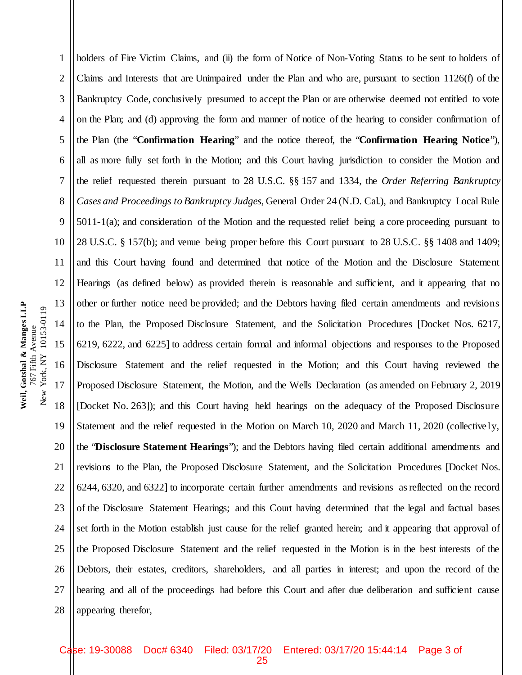1 2 3 4 5 6 7 8 9 10 11 12 13 14 15 16 17 18 19 20 21 22 23 24 25 26 27 28 holders of Fire Victim Claims, and (ii) the form of Notice of Non-Voting Status to be sent to holders of Claims and Interests that are Unimpaired under the Plan and who are, pursuant to section 1126(f) of the Bankruptcy Code, conclusively presumed to accept the Plan or are otherwise deemed not entitled to vote on the Plan; and (d) approving the form and manner of notice of the hearing to consider confirmation of the Plan (the "**Confirmation Hearing**" and the notice thereof, the "**Confirmation Hearing Notice**"), all as more fully set forth in the Motion; and this Court having jurisdiction to consider the Motion and the relief requested therein pursuant to 28 U.S.C. §§ 157 and 1334, the *Order Referring Bankruptcy Cases and Proceedings to Bankruptcy Judges*, General Order 24 (N.D. Cal.), and Bankruptcy Local Rule 5011-1(a); and consideration of the Motion and the requested relief being a core proceeding pursuant to 28 U.S.C. § 157(b); and venue being proper before this Court pursuant to 28 U.S.C. §§ 1408 and 1409; and this Court having found and determined that notice of the Motion and the Disclosure Statement Hearings (as defined below) as provided therein is reasonable and sufficient, and it appearing that no other or further notice need be provided; and the Debtors having filed certain amendments and revisions to the Plan, the Proposed Disclosure Statement, and the Solicitation Procedures [Docket Nos. 6217, 6219, 6222, and 6225] to address certain formal and informal objections and responses to the Proposed Disclosure Statement and the relief requested in the Motion; and this Court having reviewed the Proposed Disclosure Statement, the Motion, and the Wells Declaration (as amended on February 2, 2019 [Docket No. 263]); and this Court having held hearings on the adequacy of the Proposed Disclosure Statement and the relief requested in the Motion on March 10, 2020 and March 11, 2020 (collectively, the "**Disclosure Statement Hearings**"); and the Debtors having filed certain additional amendments and revisions to the Plan, the Proposed Disclosure Statement, and the Solicitation Procedures [Docket Nos. 6244, 6320, and 6322] to incorporate certain further amendments and revisions as reflected on the record of the Disclosure Statement Hearings; and this Court having determined that the legal and factual bases set forth in the Motion establish just cause for the relief granted herein; and it appearing that approval of the Proposed Disclosure Statement and the relief requested in the Motion is in the best interests of the Debtors, their estates, creditors, shareholders, and all parties in interest; and upon the record of the hearing and all of the proceedings had before this Court and after due deliberation and sufficient cause appearing therefor,

Weil, Gotshal & Manges LLP **Weil, Gotshal & Manges LLP** New York, NY 10153-0119 New York, NY 10153-0119 767 Fifth Avenue 767 Fifth Avenue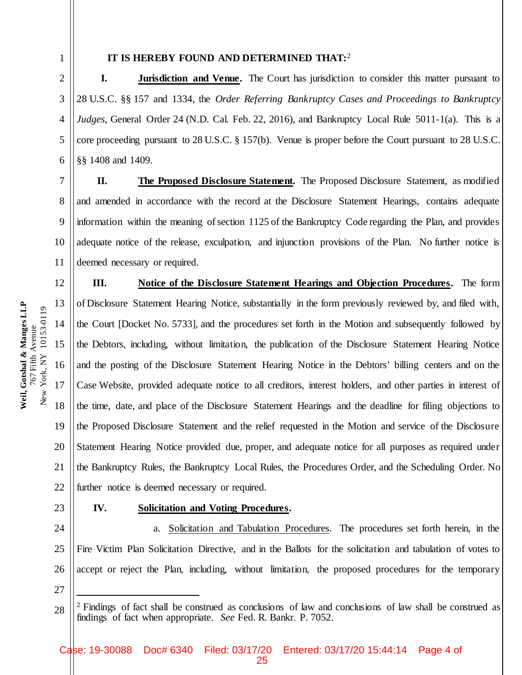7

9

15

16

**Weil, Gotshal & Manges LLP** 767 Fifth Avenue

767 Fifth Avenue

Weil, Gotshal & Manges LLP

17

18

19

20

21

22

1

## **IT IS HEREBY FOUND AND DETERMINED THAT:**<sup>2</sup>

2 3 4 5 6 **I. Jurisdiction and Venue.** The Court has jurisdiction to consider this matter pursuant to 28 U.S.C. §§ 157 and 1334, the *Order Referring Bankruptcy Cases and Proceedings to Bankruptcy Judges*, General Order 24 (N.D. Cal. Feb. 22, 2016), and Bankruptcy Local Rule 5011-1(a). This is a core proceeding pursuant to 28 U.S.C. § 157(b). Venue is proper before the Court pursuant to 28 U.S.C. §§ 1408 and 1409.

8 **II. The Proposed Disclosure Statement.** The Proposed Disclosure Statement, as modified and amended in accordance with the record at the Disclosure Statement Hearings, contains adequate information within the meaning of section 1125 of the Bankruptcy Code regarding the Plan, and provides adequate notice of the release, exculpation, and injunction provisions of the Plan. No further notice is deemed necessary or required.

**III. Notice of the Disclosure Statement Hearings and Objection Procedures.** The form of Disclosure Statement Hearing Notice, substantially in the form previously reviewed by, and filed with, the Court [Docket No. 5733], and the procedures set forth in the Motion and subsequently followed by the Debtors, including, without limitation, the publication of the Disclosure Statement Hearing Notice and the posting of the Disclosure Statement Hearing Notice in the Debtors' billing centers and on the Case Website, provided adequate notice to all creditors, interest holders, and other parties in interest of the time, date, and place of the Disclosure Statement Hearings and the deadline for filing objections to the Proposed Disclosure Statement and the relief requested in the Motion and service of the Disclosure Statement Hearing Notice provided due, proper, and adequate notice for all purposes as required under the Bankruptcy Rules, the Bankruptcy Local Rules, the Procedures Order, and the Scheduling Order. No further notice is deemed necessary or required.

23

# **IV. Solicitation and Voting Procedures.**

24 25 26 27 a. Solicitation and Tabulation Procedures. The procedures set forth herein, in the Fire Victim Plan Solicitation Directive, and in the Ballots for the solicitation and tabulation of votes to accept or reject the Plan, including, without limitation, the proposed procedures for the temporary

<sup>28</sup> 2 Findings of fact shall be construed as conclusions of law and conclusions of law shall be construed as findings of fact when appropriate. *See* Fed. R. Bankr. P. 7052.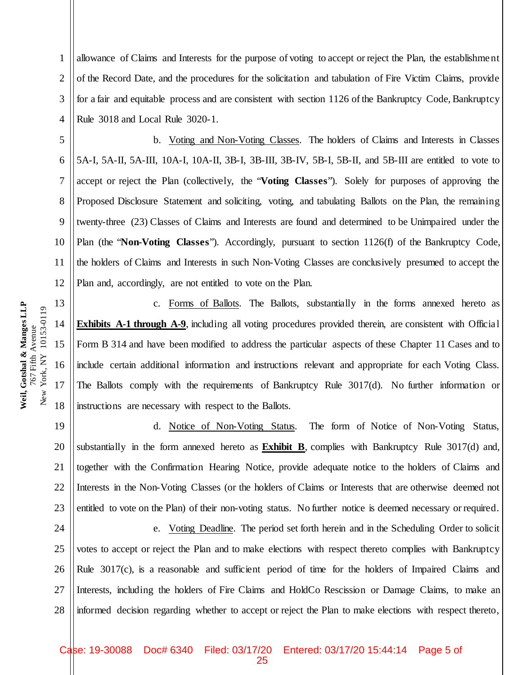4 5 6 7 8 9 10 11 12 13 Weil, Gotshal & Manges LLP **Weil, Gotshal & Manges LLP** New York, NY 10153-0119 New York, NY 10153-0119 14 767 Fifth Avenue 767 Fifth Avenue 15 16 17 18

1 2 3 allowance of Claims and Interests for the purpose of voting to accept or reject the Plan, the establishment of the Record Date, and the procedures for the solicitation and tabulation of Fire Victim Claims, provide for a fair and equitable process and are consistent with section 1126 of the Bankruptcy Code, Bankruptcy Rule 3018 and Local Rule 3020-1.

b. Voting and Non-Voting Classes.The holders of Claims and Interests in Classes 5A-I, 5A-II, 5A-III, 10A-I, 10A-II, 3B-I, 3B-III, 3B-IV, 5B-I, 5B-II, and 5B-III are entitled to vote to accept or reject the Plan (collectively, the "**Voting Classes**"). Solely for purposes of approving the Proposed Disclosure Statement and soliciting, voting, and tabulating Ballots on the Plan, the remaining twenty-three (23) Classes of Claims and Interests are found and determined to be Unimpaired under the Plan (the "**Non-Voting Classes**"). Accordingly, pursuant to section 1126(f) of the Bankruptcy Code, the holders of Claims and Interests in such Non-Voting Classes are conclusively presumed to accept the Plan and, accordingly, are not entitled to vote on the Plan.

c. Forms of Ballots. The Ballots, substantially in the forms annexed hereto as **Exhibits** A-1 through A-9, including all voting procedures provided therein, are consistent with Official Form B 314 and have been modified to address the particular aspects of these Chapter 11 Cases and to include certain additional information and instructions relevant and appropriate for each Voting Class. The Ballots comply with the requirements of Bankruptcy Rule 3017(d). No further information or instructions are necessary with respect to the Ballots.

19 20 21 22 23 d. Notice of Non-Voting Status. The form of Notice of Non-Voting Status, substantially in the form annexed hereto as **Exhibit B**, complies with Bankruptcy Rule 3017(d) and, together with the Confirmation Hearing Notice, provide adequate notice to the holders of Claims and Interests in the Non-Voting Classes (or the holders of Claims or Interests that are otherwise deemed not entitled to vote on the Plan) of their non-voting status. No further notice is deemed necessary or required.

24 25 26 27 28 e. Voting Deadline. The period set forth herein and in the Scheduling Order to solicit votes to accept or reject the Plan and to make elections with respect thereto complies with Bankruptcy Rule 3017(c), is a reasonable and sufficient period of time for the holders of Impaired Claims and Interests, including the holders of Fire Claims and HoldCo Rescission or Damage Claims, to make an informed decision regarding whether to accept or reject the Plan to make elections with respect thereto,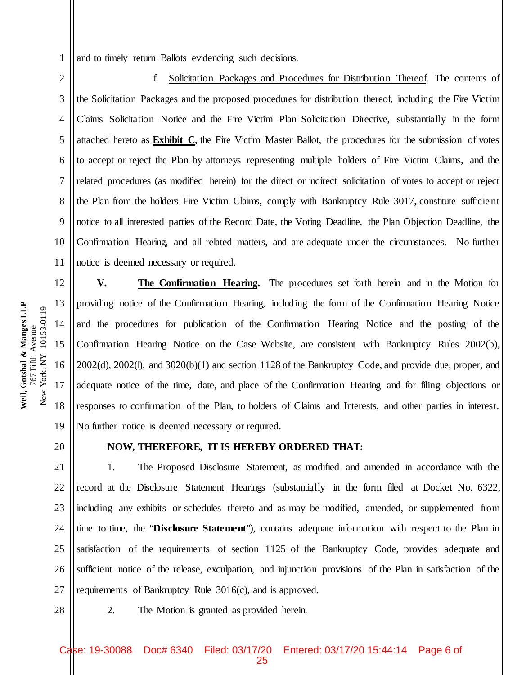and to timely return Ballots evidencing such decisions.

3 5 6 8 10 f. Solicitation Packages and Procedures for Distribution Thereof. The contents of the Solicitation Packages and the proposed procedures for distribution thereof, including the Fire Victim Claims Solicitation Notice and the Fire Victim Plan Solicitation Directive, substantially in the form attached hereto as **Exhibit C**, the Fire Victim Master Ballot, the procedures for the submission of votes to accept or reject the Plan by attorneys representing multiple holders of Fire Victim Claims, and the related procedures (as modified herein) for the direct or indirect solicitation of votes to accept or reject the Plan from the holders Fire Victim Claims, comply with Bankruptcy Rule 3017, constitute sufficient notice to all interested parties of the Record Date, the Voting Deadline, the Plan Objection Deadline, the Confirmation Hearing, and all related matters, and are adequate under the circumstances. No further notice is deemed necessary or required.

**V. The Confirmation Hearing.** The procedures set forth herein and in the Motion for providing notice of the Confirmation Hearing, including the form of the Confirmation Hearing Notice and the procedures for publication of the Confirmation Hearing Notice and the posting of the Confirmation Hearing Notice on the Case Website, are consistent with Bankruptcy Rules 2002(b), 2002(d), 2002(l), and 3020(b)(1) and section 1128 of the Bankruptcy Code, and provide due, proper, and adequate notice of the time, date, and place of the Confirmation Hearing and for filing objections or responses to confirmation of the Plan, to holders of Claims and Interests, and other parties in interest. No further notice is deemed necessary or required.

20

1

2

4

7

9

11

12

13

14

15

16

**Weil, Gotshal & Manges LLP** 767 Fifth Avenue New York, NY 10153-0119

New York, NY 10153-0119 767 Fifth Avenue

Weil, Gotshal & Manges LLP

17

18

19

## **NOW, THEREFORE, IT IS HEREBY ORDERED THAT:**

21 22 23 24 25 26 27 1. The Proposed Disclosure Statement, as modified and amended in accordance with the record at the Disclosure Statement Hearings (substantially in the form filed at Docket No. 6322, including any exhibits or schedules thereto and as may be modified, amended, or supplemented from time to time, the "**Disclosure Statement**"), contains adequate information with respect to the Plan in satisfaction of the requirements of section 1125 of the Bankruptcy Code, provides adequate and sufficient notice of the release, exculpation, and injunction provisions of the Plan in satisfaction of the requirements of Bankruptcy Rule 3016(c), and is approved.

28

2. The Motion is granted as provided herein.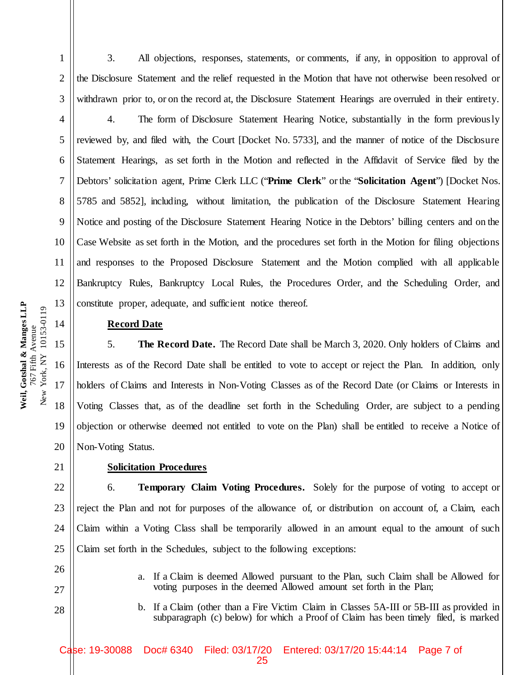3. All objections, responses, statements, or comments, if any, in opposition to approval of the Disclosure Statement and the relief requested in the Motion that have not otherwise been resolved or withdrawn prior to, or on the record at, the Disclosure Statement Hearings are overruled in their entirety.

4 5 6 7 8 9 10 11 12 13 4. The form of Disclosure Statement Hearing Notice, substantially in the form previously reviewed by, and filed with, the Court [Docket No. 5733], and the manner of notice of the Disclosure Statement Hearings, as set forth in the Motion and reflected in the Affidavit of Service filed by the Debtors' solicitation agent, Prime Clerk LLC ("**Prime Clerk**" or the "**Solicitation Agent**") [Docket Nos. 5785 and 5852], including, without limitation, the publication of the Disclosure Statement Hearing Notice and posting of the Disclosure Statement Hearing Notice in the Debtors' billing centers and on the Case Website as set forth in the Motion, and the procedures set forth in the Motion for filing objections and responses to the Proposed Disclosure Statement and the Motion complied with all applicable Bankruptcy Rules, Bankruptcy Local Rules, the Procedures Order, and the Scheduling Order, and constitute proper, adequate, and sufficient notice thereof.

#### **Record Date**

5. **The Record Date.** The Record Date shall be March 3, 2020. Only holders of Claims and Interests as of the Record Date shall be entitled to vote to accept or reject the Plan. In addition, only holders of Claims and Interests in Non-Voting Classes as of the Record Date (or Claims or Interests in Voting Classes that, as of the deadline set forth in the Scheduling Order, are subject to a pending objection or otherwise deemed not entitled to vote on the Plan) shall be entitled to receive a Notice of Non-Voting Status.

#### **Solicitation Procedures**

22 23 24 25 6. **Temporary Claim Voting Procedures.** Solely for the purpose of voting to accept or reject the Plan and not for purposes of the allowance of, or distribution on account of, a Claim, each Claim within a Voting Class shall be temporarily allowed in an amount equal to the amount of such Claim set forth in the Schedules, subject to the following exceptions:

- a. If a Claim is deemed Allowed pursuant to the Plan, such Claim shall be Allowed for voting purposes in the deemed Allowed amount set forth in the Plan;
- b. If a Claim (other than a Fire Victim Claim in Classes 5A-III or 5B-III as provided in subparagraph (c) below) for which a Proof of Claim has been timely filed, is marked

Weil, Gotshal & Manges LLP **Weil, Gotshal & Manges LLP** New York, NY 10153-0119 New York, NY 10153-0119 767 Fifth Avenue 767 Fifth Avenue

14

15

16

17

18

19

20

21

26

27

28

1

2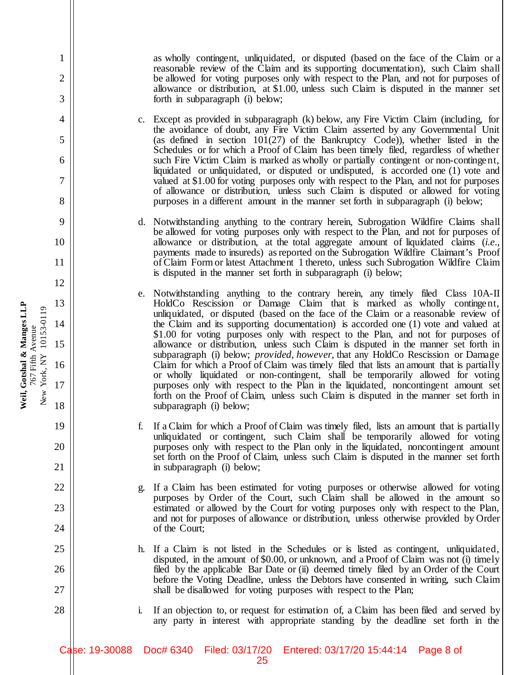as wholly contingent, unliquidated, or disputed (based on the face of the Claim or a reasonable review of the Claim and its supporting documentation), such Claim shall be allowed for voting purposes only with respect to the Plan, and not for purposes of allowance or distribution, at \$1.00, unless such Claim is disputed in the manner set forth in subparagraph (i) below;

c. Except as provided in subparagraph (k) below, any Fire Victim Claim (including, for the avoidance of doubt, any Fire Victim Claim asserted by any Governmental Unit (as defined in section  $101(27)$  of the Bankruptcy Code)), whether listed in the Schedules or for which a Proof of Claim has been timely filed, regardless of whether such Fire Victim Claim is marked as wholly or partially contingent or non-contingent, liquidated or unliquidated, or disputed or undisputed, is accorded one (1) vote and valued at \$1.00 for voting purposes only with respect to the Plan, and not for purposes of allowance or distribution, unless such Claim is disputed or allowed for voting purposes in a different amount in the manner set forth in subparagraph (i) below;

d. Notwithstanding anything to the contrary herein, Subrogation Wildfire Claims shall be allowed for voting purposes only with respect to the Plan, and not for purposes of allowance or distribution, at the total aggregate amount of liquidated claims (*i.e*., payments made to insureds) as reported on the Subrogation Wildfire Claimant's Proof of Claim Form or latest Attachment 1 thereto, unless such Subrogation Wildfire Claim is disputed in the manner set forth in subparagraph (i) below;

- e. Notwithstanding anything to the contrary herein, any timely filed Class 10A-II HoldCo Rescission or Damage Claim that is marked as wholly contingent, unliquidated, or disputed (based on the face of the Claim or a reasonable review of the Claim and its supporting documentation) is accorded one (1) vote and valued at \$1.00 for voting purposes only with respect to the Plan, and not for purposes of allowance or distribution, unless such Claim is disputed in the manner set forth in subparagraph (i) below; *provided, however*, that any HoldCo Rescission or Damage Claim for which a Proof of Claim was timely filed that lists an amount that is partially or wholly liquidated or non-contingent, shall be temporarily allowed for voting purposes only with respect to the Plan in the liquidated, noncontingent amount set forth on the Proof of Claim, unless such Claim is disputed in the manner set forth in subparagraph (i) below;
- f. If a Claim for which a Proof of Claim was timely filed, lists an amount that is partially unliquidated or contingent, such Claim shall be temporarily allowed for voting purposes only with respect to the Plan only in the liquidated, noncontingent amount set forth on the Proof of Claim, unless such Claim is disputed in the manner set forth in subparagraph (i) below;
- g. If a Claim has been estimated for voting purposes or otherwise allowed for voting purposes by Order of the Court, such Claim shall be allowed in the amount so estimated or allowed by the Court for voting purposes only with respect to the Plan, and not for purposes of allowance or distribution, unless otherwise provided by Order of the Court;
- h. If a Claim is not listed in the Schedules or is listed as contingent, unliquidated, disputed, in the amount of \$0.00, or unknown, and a Proof of Claim was not (i) timely filed by the applicable Bar Date or (ii) deemed timely filed by an Order of the Court before the Voting Deadline, unless the Debtors have consented in writing, such Claim shall be disallowed for voting purposes with respect to the Plan;
- i. If an objection to, or request for estimation of, a Claim has been filed and served by any party in interest with appropriate standing by the deadline set forth in the

Weil, Gotshal & Manges LLP **Weil, Gotshal & Manges LLP** New York, NY 10153-0119 New York, NY 10153-0119 767 Fifth Avenue 767 Fifth Avenue

1

2

3

4

5

6

7

8

9

10

11

12

13

14

15

16

17

18

19

20

21

22

23

24

25

26

27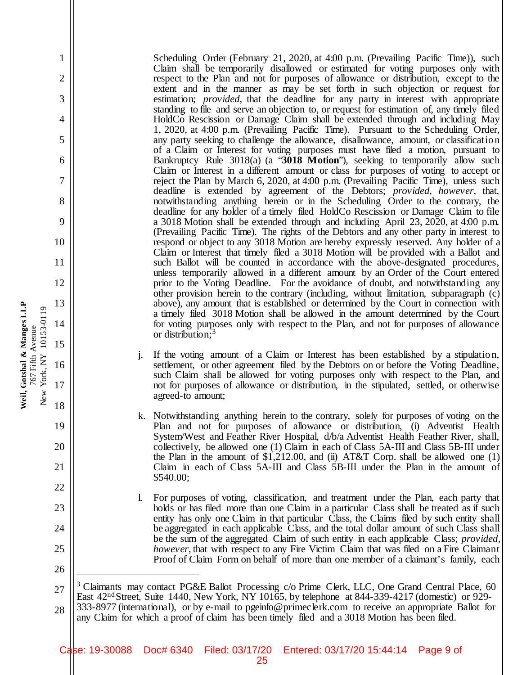Scheduling Order (February 21, 2020, at 4:00 p.m. (Prevailing Pacific Time)), such Claim shall be temporarily disallowed or estimated for voting purposes only with respect to the Plan and not for purposes of allowance or distribution, except to the extent and in the manner as may be set forth in such objection or request for estimation; *provided*, that the deadline for any party in interest with appropriate standing to file and serve an objection to, or request for estimation of, any timely filed HoldCo Rescission or Damage Claim shall be extended through and including May 1, 2020, at 4:00 p.m. (Prevailing Pacific Time). Pursuant to the Scheduling Order, any party seeking to challenge the allowance, disallowance, amount, or classificatio n of a Claim or Interest for voting purposes must have filed a motion, pursuant to Bankruptcy Rule 3018(a) (a "**3018 Motion**"), seeking to temporarily allow such Claim or Interest in a different amount or class for purposes of voting to accept or reject the Plan by March 6, 2020, at 4:00 p.m. (Prevailing Pacific Time), unless such deadline is extended by agreement of the Debtors; *provided, however,* that, notwithstanding anything herein or in the Scheduling Order to the contrary, the deadline for any holder of a timely filed HoldCo Rescission or Damage Claim to file a 3018 Motion shall be extended through and including April 23, 2020, at 4:00 p.m. (Prevailing Pacific Time). The rights of the Debtors and any other party in interest to respond or object to any 3018 Motion are hereby expressly reserved. Any holder of a Claim or Interest that timely filed a 3018 Motion will be provided with a Ballot and such Ballot will be counted in accordance with the above-designated procedures, unless temporarily allowed in a different amount by an Order of the Court entered prior to the Voting Deadline. For the avoidance of doubt, and notwithstanding any other provision herein to the contrary (including, without limitation, subparagraph (c) above), any amount that is established or determined by the Court in connection with a timely filed 3018 Motion shall be allowed in the amount determined by the Court for voting purposes only with respect to the Plan, and not for purposes of allowance or distribution;<sup>3</sup>

- If the voting amount of a Claim or Interest has been established by a stipulation, settlement, or other agreement filed by the Debtors on or before the Voting Deadline, such Claim shall be allowed for voting purposes only with respect to the Plan, and not for purposes of allowance or distribution, in the stipulated, settled, or otherwise agreed-to amount;
- k. Notwithstanding anything herein to the contrary, solely for purposes of voting on the Plan and not for purposes of allowance or distribution, (i) Adventist Health System/West and Feather River Hospital, d/b/a Adventist Health Feather River, shall, collectively, be allowed one (1) Claim in each of Class 5A-III and Class 5B-III under the Plan in the amount of  $\$1,212.00$ , and (ii) AT&T Corp. shall be allowed one (1) Claim in each of Class 5A-III and Class 5B-III under the Plan in the amount of \$540.00;
- l. For purposes of voting, classification, and treatment under the Plan, each party that holds or has filed more than one Claim in a particular Class shall be treated as if such entity has only one Claim in that particular Class, the Claims filed by such entity shall be aggregated in each applicable Class, and the total dollar amount of such Class shall be the sum of the aggregated Claim of such entity in each applicable Class; *provided, however*, that with respect to any Fire Victim Claim that was filed on a Fire Claimant Proof of Claim Form on behalf of more than one member of a claimant's family, each

27 28 <sup>3</sup> Claimants may contact PG&E Ballot Processing c/o Prime Clerk, LLC, One Grand Central Place, 60 East  $42<sup>nd</sup> Street$ , Suite 1440, New York, NY 10165, by telephone at 844-339-4217 (domestic) or 929-333-8977 (international), or by e-mail to pgeinfo@primeclerk.com to receive an appropriate Ballot for any Claim for which a proof of claim has been timely filed and a 3018 Motion has been filed.

Weil, Gotshal & Manges LLP **Weil, Gotshal & Manges LLP** New York, NY 10153-0119 New York, NY 10153-0119 767 Fifth Avenue 767 Fifth Avenue

1

2

3

4

5

6

7

8

9

10

11

12

13

14

15

16

17

18

19

20

21

22

23

24

25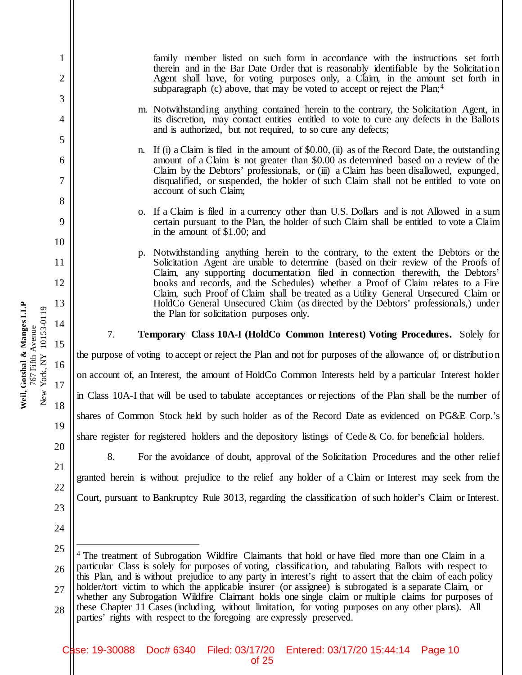family member listed on such form in accordance with the instructions set forth therein and in the Bar Date Order that is reasonably identifiable by the Solicitatio n Agent shall have, for voting purposes only, a Claim, in the amount set forth in subparagraph (c) above, that may be voted to accept or reject the Plan;<sup>4</sup>

- m. Notwithstanding anything contained herein to the contrary, the Solicitation Agent, in its discretion, may contact entities entitled to vote to cure any defects in the Ballots and is authorized, but not required, to so cure any defects;
- n. If (i) a Claim is filed in the amount of \$0.00, (ii) as of the Record Date, the outstanding amount of a Claim is not greater than \$0.00 as determined based on a review of the Claim by the Debtors' professionals, or (iii) a Claim has been disallowed, expunged, disqualified, or suspended, the holder of such Claim shall not be entitled to vote on account of such Claim;
- o. If a Claim is filed in a currency other than U.S. Dollars and is not Allowed in a sum certain pursuant to the Plan, the holder of such Claim shall be entitled to vote a Claim in the amount of \$1.00; and
- p. Notwithstanding anything herein to the contrary, to the extent the Debtors or the Solicitation Agent are unable to determine (based on their review of the Proofs of Claim, any supporting documentation filed in connection therewith, the Debtors' books and records, and the Schedules) whether a Proof of Claim relates to a Fire Claim, such Proof of Claim shall be treated as a Utility General Unsecured Claim or HoldCo General Unsecured Claim (as directed by the Debtors' professionals,) under the Plan for solicitation purposes only.

## 7. **Temporary Class 10A-I (HoldCo Common Interest) Voting Procedures.** Solely for

the purpose of voting to accept or reject the Plan and not for purposes of the allowance of, or distributio n on account of, an Interest, the amount of HoldCo Common Interests held by a particular Interest holder in Class 10A-I that will be used to tabulate acceptances or rejections of the Plan shall be the number of shares of Common Stock held by such holder as of the Record Date as evidenced on PG&E Corp.'s share register for registered holders and the depository listings of Cede  $\&$  Co. for beneficial holders.

8. For the avoidance of doubt, approval of the Solicitation Procedures and the other relief granted herein is without prejudice to the relief any holder of a Claim or Interest may seek from the Court, pursuant to Bankruptcy Rule 3013, regarding the classification of such holder's Claim or Interest.

Weil, Gotshal & Manges LLP **Weil, Gotshal & Manges LLP** New York, NY 10153-0119 New York, NY 10153-0119 14 767 Fifth Avenue 767 Fifth Avenue 15 16 17 18

1

2

3

4

5

6

7

8

9

10

11

12

13

<sup>25</sup> 26 27 28 <sup>4</sup> The treatment of Subrogation Wildfire Claimants that hold or have filed more than one Claim in a particular Class is solely for purposes of voting, classification, and tabulating Ballots with respect to this Plan, and is without prejudice to any party in interest's right to assert that the claim of each policy holder/tort victim to which the applicable insurer (or assignee) is subrogated is a separate Claim, or whether any Subrogation Wildfire Claimant holds one single claim or multiple claims for purposes of these Chapter 11 Cases (including, without limitation, for voting purposes on any other plans). All parties' rights with respect to the foregoing are expressly preserved.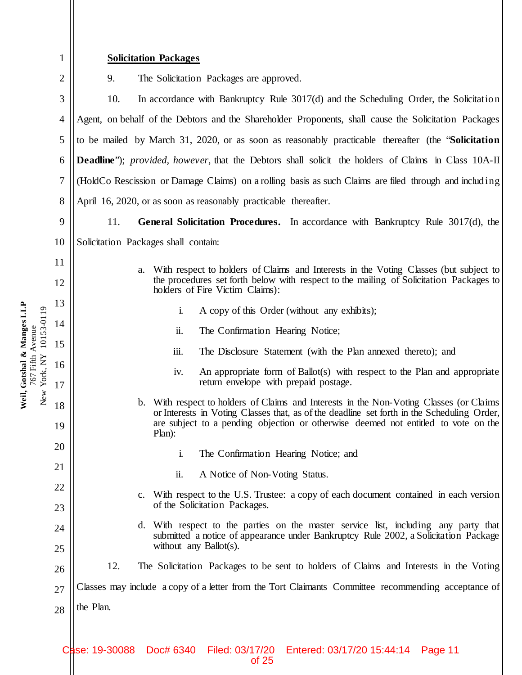| 1        | <b>Solicitation Packages</b>                                                                                                                                                               |  |  |
|----------|--------------------------------------------------------------------------------------------------------------------------------------------------------------------------------------------|--|--|
| 2        | 9.<br>The Solicitation Packages are approved.                                                                                                                                              |  |  |
| 3        | 10.<br>In accordance with Bankruptcy Rule 3017(d) and the Scheduling Order, the Solicitation                                                                                               |  |  |
| 4        | Agent, on behalf of the Debtors and the Shareholder Proponents, shall cause the Solicitation Packages                                                                                      |  |  |
| 5        | to be mailed by March 31, 2020, or as soon as reasonably practicable thereafter (the "Solicitation"                                                                                        |  |  |
| 6        | <b>Deadline</b> "); provided, however, that the Debtors shall solicit the holders of Claims in Class 10A-II                                                                                |  |  |
| 7        | (HoldCo Rescission or Damage Claims) on a rolling basis as such Claims are filed through and including                                                                                     |  |  |
| 8        | April 16, 2020, or as soon as reasonably practicable thereafter.                                                                                                                           |  |  |
| 9        | General Solicitation Procedures. In accordance with Bankruptcy Rule 3017(d), the<br>11.                                                                                                    |  |  |
| 10       | Solicitation Packages shall contain:                                                                                                                                                       |  |  |
| 11       | With respect to holders of Claims and Interests in the Voting Classes (but subject to<br>a.                                                                                                |  |  |
| 12       | the procedures set forth below with respect to the mailing of Solicitation Packages to<br>holders of Fire Victim Claims):                                                                  |  |  |
| 13       | A copy of this Order (without any exhibits);<br>i.                                                                                                                                         |  |  |
| 14       | The Confirmation Hearing Notice;<br>ii.                                                                                                                                                    |  |  |
| 15       | iii.<br>The Disclosure Statement (with the Plan annexed thereto); and                                                                                                                      |  |  |
| 16<br>17 | An appropriate form of Ballot(s) with respect to the Plan and appropriate<br>iv.<br>return envelope with prepaid postage.                                                                  |  |  |
| 18       | With respect to holders of Claims and Interests in the Non-Voting Classes (or Claims<br>$\mathbf{b}$ .                                                                                     |  |  |
| 19       | or Interests in Voting Classes that, as of the deadline set forth in the Scheduling Order,<br>are subject to a pending objection or otherwise deemed not entitled to vote on the<br>Plan): |  |  |
| 20       | The Confirmation Hearing Notice; and<br>i.                                                                                                                                                 |  |  |
| 21       | ii.<br>A Notice of Non-Voting Status.                                                                                                                                                      |  |  |
| 22       | With respect to the U.S. Trustee: a copy of each document contained in each version<br>$\mathbf{c}$ .                                                                                      |  |  |
| 23       | of the Solicitation Packages.                                                                                                                                                              |  |  |
| 24       | With respect to the parties on the master service list, including any party that<br>d.<br>submitted a notice of appearance under Bankruptcy Rule 2002, a Solicitation Package              |  |  |
| 25       | without any Ballot(s).                                                                                                                                                                     |  |  |
| 26       | 12.<br>The Solicitation Packages to be sent to holders of Claims and Interests in the Voting                                                                                               |  |  |
| 27       | Classes may include a copy of a letter from the Tort Claimants Committee recommending acceptance of                                                                                        |  |  |
| 28       | the Plan.                                                                                                                                                                                  |  |  |
|          |                                                                                                                                                                                            |  |  |

Weil, Gotshal & Manges LLP<br>767 Fifth Avenue<br>New York, NY 10153-0119 **Weil, Gotshal & Manges LLP** New York, NY 10153-0119 767 Fifth Avenue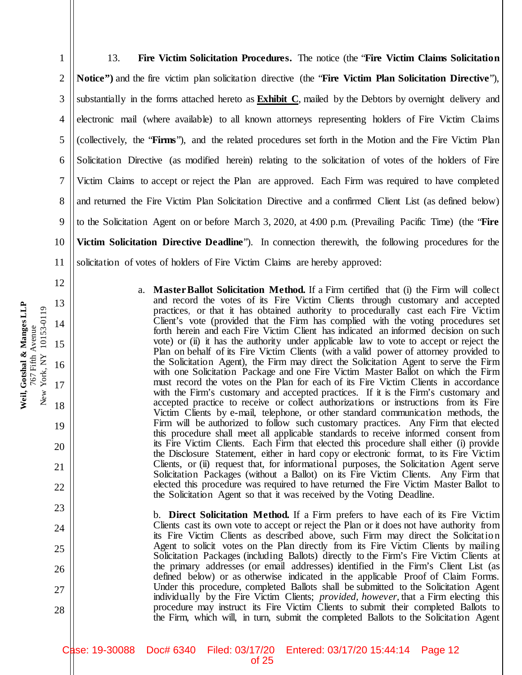3 4 5 6 7 8 9 10 11 12 13 14 substantially in the forms attached hereto as **Exhibit C**, mailed by the Debtors by overnight delivery and electronic mail (where available) to all known attorneys representing holders of Fire Victim Claims (collectively, the "**Firms**"), and the related procedures set forth in the Motion and the Fire Victim Plan Solicitation Directive (as modified herein) relating to the solicitation of votes of the holders of Fire Victim Claims to accept or reject the Plan are approved. Each Firm was required to have completed and returned the Fire Victim Plan Solicitation Directive and a confirmed Client List (as defined below) to the Solicitation Agent on or before March 3, 2020, at 4:00 p.m. (Prevailing Pacific Time) (the "**Fire Victim Solicitation Directive Deadline**"). In connection therewith, the following procedures for the solicitation of votes of holders of Fire Victim Claims are hereby approved:

a. **Master Ballot Solicitation Method.** If a Firm certified that (i) the Firm will collect and record the votes of its Fire Victim Clients through customary and accepted practices, or that it has obtained authority to procedurally cast each Fire Victim Client's vote (provided that the Firm has complied with the voting procedures set forth herein and each Fire Victim Client has indicated an informed decision on such vote) or (ii) it has the authority under applicable law to vote to accept or reject the Plan on behalf of its Fire Victim Clients (with a valid power of attorney provided to the Solicitation Agent), the Firm may direct the Solicitation Agent to serve the Firm with one Solicitation Package and one Fire Victim Master Ballot on which the Firm must record the votes on the Plan for each of its Fire Victim Clients in accordance with the Firm's customary and accepted practices. If it is the Firm's customary and accepted practice to receive or collect authorizations or instructions from its Fire Victim Clients by e-mail, telephone, or other standard communication methods, the Firm will be authorized to follow such customary practices. Any Firm that elected this procedure shall meet all applicable standards to receive informed consent from its Fire Victim Clients. Each Firm that elected this procedure shall either (i) provide the Disclosure Statement, either in hard copy or electronic format, to its Fire Victim Clients, or (ii) request that, for informational purposes, the Solicitation Agent serve Solicitation Packages (without a Ballot) on its Fire Victim Clients. Any Firm that elected this procedure was required to have returned the Fire Victim Master Ballot to the Solicitation Agent so that it was received by the Voting Deadline.

13. **Fire Victim Solicitation Procedures.** The notice (the "**Fire Victim Claims Solicitation** 

**Notice")** and the fire victim plan solicitation directive (the "**Fire Victim Plan Solicitation Directive**"),

b. **Direct Solicitation Method.** If a Firm prefers to have each of its Fire Victim Clients cast its own vote to accept or reject the Plan or it does not have authority from its Fire Victim Clients as described above, such Firm may direct the Solicitatio n Agent to solicit votes on the Plan directly from its Fire Victim Clients by mailing Solicitation Packages (including Ballots) directly to the Firm's Fire Victim Clients at the primary addresses (or email addresses) identified in the Firm's Client List (as defined below) or as otherwise indicated in the applicable Proof of Claim Forms. Under this procedure, completed Ballots shall be submitted to the Solicitation Agent individually by the Fire Victim Clients; *provided, however,* that a Firm electing this procedure may instruct its Fire Victim Clients to submit their completed Ballots to the Firm, which will, in turn, submit the completed Ballots to the Solicitation Agent

Weil, Gotshal & Manges LLP **Weil, Gotshal & Manges LLP** New York, NY 10153-0119 New York, NY 10153-0119 767 Fifth Avenue 767 Fifth Avenue

15

16

17

18

19

20

21

22

23

24

25

26

27

28

1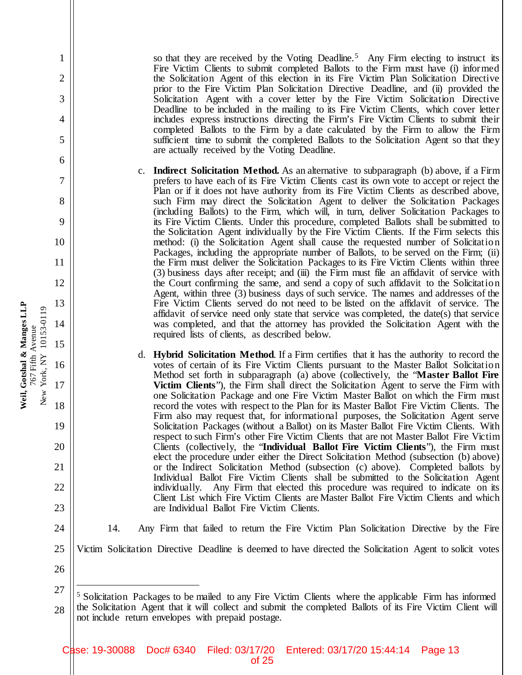so that they are received by the Voting Deadline.<sup>5</sup> Any Firm electing to instruct its Fire Victim Clients to submit completed Ballots to the Firm must have (i) informed the Solicitation Agent of this election in its Fire Victim Plan Solicitation Directive prior to the Fire Victim Plan Solicitation Directive Deadline, and (ii) provided the Solicitation Agent with a cover letter by the Fire Victim Solicitation Directive Deadline to be included in the mailing to its Fire Victim Clients, which cover letter includes express instructions directing the Firm's Fire Victim Clients to submit their completed Ballots to the Firm by a date calculated by the Firm to allow the Firm sufficient time to submit the completed Ballots to the Solicitation Agent so that they are actually received by the Voting Deadline.

- c. **Indirect Solicitation Method.** As an alternative to subparagraph (b) above, if a Firm prefers to have each of its Fire Victim Clients cast its own vote to accept or reject the Plan or if it does not have authority from its Fire Victim Clients as described above, such Firm may direct the Solicitation Agent to deliver the Solicitation Packages (including Ballots) to the Firm, which will, in turn, deliver Solicitation Packages to its Fire Victim Clients. Under this procedure, completed Ballots shall be submitted to the Solicitation Agent individually by the Fire Victim Clients. If the Firm selects this method: (i) the Solicitation Agent shall cause the requested number of Solicitation Packages, including the appropriate number of Ballots, to be served on the Firm; (ii) the Firm must deliver the Solicitation Packages to its Fire Victim Clients within three (3) business days after receipt; and (iii) the Firm must file an affidavit of service with the Court confirming the same, and send a copy of such affidavit to the Solicitatio n Agent, within three (3) business days of such service. The names and addresses of the Fire Victim Clients served do not need to be listed on the affidavit of service. The affidavit of service need only state that service was completed, the date(s) that service was completed, and that the attorney has provided the Solicitation Agent with the required lists of clients, as described below.
- d. **Hybrid Solicitation Method**. If a Firm certifies that it has the authority to record the votes of certain of its Fire Victim Clients pursuant to the Master Ballot Solicitatio n Method set forth in subparagraph (a) above (collectively, the "**Master Ballot Fire Victim Clients**"), the Firm shall direct the Solicitation Agent to serve the Firm with one Solicitation Package and one Fire Victim Master Ballot on which the Firm must record the votes with respect to the Plan for its Master Ballot Fire Victim Clients. The Firm also may request that, for informational purposes, the Solicitation Agent serve Solicitation Packages (without a Ballot) on its Master Ballot Fire Victim Clients. With respect to such Firm's other Fire Victim Clients that are not Master Ballot Fire Victim Clients (collectively, the "**Individual Ballot Fire Victim Clients**"), the Firm must elect the procedure under either the Direct Solicitation Method (subsection (b) above) or the Indirect Solicitation Method (subsection (c) above). Completed ballots by Individual Ballot Fire Victim Clients shall be submitted to the Solicitation Agent individually. Any Firm that elected this procedure was required to indicate on its Client List which Fire Victim Clients are Master Ballot Fire Victim Clients and which are Individual Ballot Fire Victim Clients.
- 14. Any Firm that failed to return the Fire Victim Plan Solicitation Directive by the Fire
- Victim Solicitation Directive Deadline is deemed to have directed the Solicitation Agent to solicit votes
- 27 <sup>5</sup> Solicitation Packages to be mailed to any Fire Victim Clients where the applicable Firm has informed

Weil, Gotshal & Manges LLP **Weil, Gotshal & Manges LLP** New York, NY 10153-0119 New York, NY 10153-0119 767 Fifth Avenue 767 Fifth Avenue

1

2

3

4

5

6

7

8

9

10

11

12

13

14

15

16

17

18

19

20

21

22

23

24

25

<sup>28</sup> the Solicitation Agent that it will collect and submit the completed Ballots of its Fire Victim Client will not include return envelopes with prepaid postage.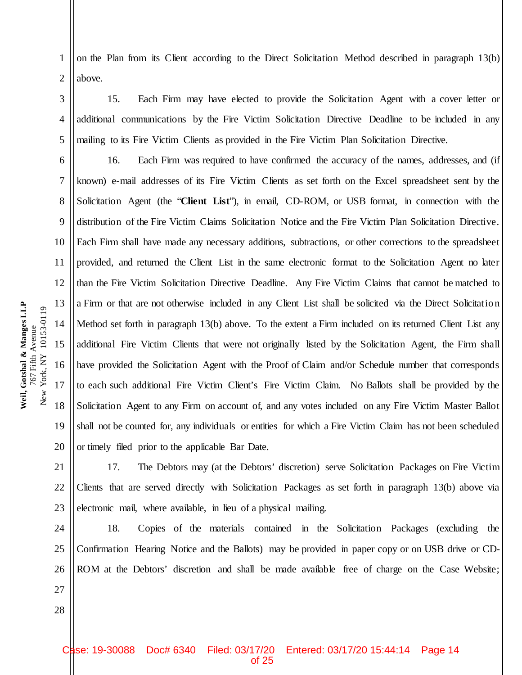4 5 6 7 8 9 10 11 12 13 New York, NY 10153-0119 New York, NY 10153-0119 14 767 Fifth Avenue 767 Fifth Avenue 15 16 17 18

**Weil, Gotshal & Manges LLP**

Weil, Gotshal & Manges LLP

19

20

28

1

2

3

on the Plan from its Client according to the Direct Solicitation Method described in paragraph 13(b) above.

15. Each Firm may have elected to provide the Solicitation Agent with a cover letter or additional communications by the Fire Victim Solicitation Directive Deadline to be included in any mailing to its Fire Victim Clients as provided in the Fire Victim Plan Solicitation Directive.

16. Each Firm was required to have confirmed the accuracy of the names, addresses, and (if known) e-mail addresses of its Fire Victim Clients as set forth on the Excel spreadsheet sent by the Solicitation Agent (the "**Client List**"), in email, CD-ROM, or USB format, in connection with the distribution of the Fire Victim Claims Solicitation Notice and the Fire Victim Plan Solicitation Directive. Each Firm shall have made any necessary additions, subtractions, or other corrections to the spreadsheet provided, and returned the Client List in the same electronic format to the Solicitation Agent no later than the Fire Victim Solicitation Directive Deadline. Any Fire Victim Claims that cannot be matched to a Firm or that are not otherwise included in any Client List shall be solicited via the Direct Solicitatio n Method set forth in paragraph 13(b) above. To the extent a Firm included on its returned Client List any additional Fire Victim Clients that were not originally listed by the Solicitation Agent, the Firm shall have provided the Solicitation Agent with the Proof of Claim and/or Schedule number that corresponds to each such additional Fire Victim Client's Fire Victim Claim. No Ballots shall be provided by the Solicitation Agent to any Firm on account of, and any votes included on any Fire Victim Master Ballot shall not be counted for, any individuals or entities for which a Fire Victim Claim has not been scheduled or timely filed prior to the applicable Bar Date.

21 22 23 17. The Debtors may (at the Debtors' discretion) serve Solicitation Packages on Fire Victim Clients that are served directly with Solicitation Packages as set forth in paragraph 13(b) above via electronic mail, where available, in lieu of a physical mailing.

24 25 26 27 18. Copies of the materials contained in the Solicitation Packages (excluding the Confirmation Hearing Notice and the Ballots) may be provided in paper copy or on USB drive or CD-ROM at the Debtors' discretion and shall be made available free of charge on the Case Website;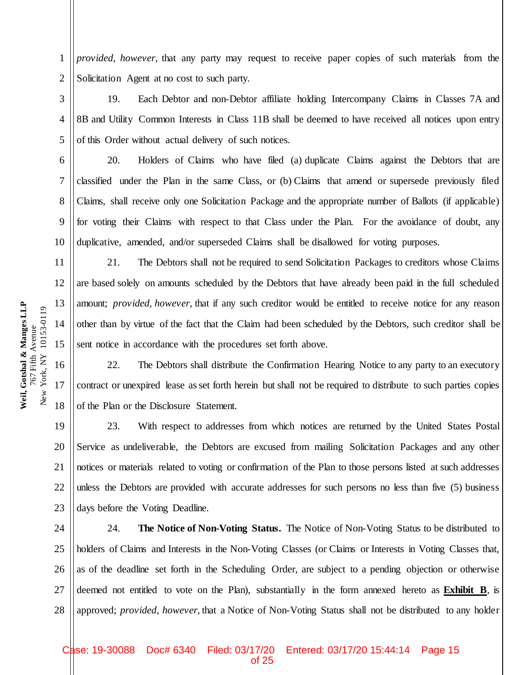*provided, however*, that any party may request to receive paper copies of such materials from the Solicitation Agent at no cost to such party.

19. Each Debtor and non-Debtor affiliate holding Intercompany Claims in Classes 7A and 8B and Utility Common Interests in Class 11B shall be deemed to have received all notices upon entry of this Order without actual delivery of such notices.

20. Holders of Claims who have filed (a) duplicate Claims against the Debtors that are classified under the Plan in the same Class, or (b) Claims that amend or supersede previously filed Claims, shall receive only one Solicitation Package and the appropriate number of Ballots (if applicable) for voting their Claims with respect to that Class under the Plan. For the avoidance of doubt, any duplicative, amended, and/or superseded Claims shall be disallowed for voting purposes.

21. The Debtors shall not be required to send Solicitation Packages to creditors whose Claims are based solely on amounts scheduled by the Debtors that have already been paid in the full scheduled amount; *provided, however*, that if any such creditor would be entitled to receive notice for any reason other than by virtue of the fact that the Claim had been scheduled by the Debtors, such creditor shall be sent notice in accordance with the procedures set forth above.

22. The Debtors shall distribute the Confirmation Hearing Notice to any party to an executory contract or unexpired lease as set forth herein but shall not be required to distribute to such parties copies of the Plan or the Disclosure Statement.

20 22 23 23. With respect to addresses from which notices are returned by the United States Postal Service as undeliverable, the Debtors are excused from mailing Solicitation Packages and any other notices or materials related to voting or confirmation of the Plan to those persons listed at such addresses unless the Debtors are provided with accurate addresses for such persons no less than five (5) business days before the Voting Deadline.

24 25 26 27 28 24. **The Notice of Non-Voting Status.** The Notice of Non-Voting Status to be distributed to holders of Claims and Interests in the Non-Voting Classes (or Claims or Interests in Voting Classes that, as of the deadline set forth in the Scheduling Order, are subject to a pending objection or otherwise deemed not entitled to vote on the Plan), substantially in the form annexed hereto as **Exhibit B**, is approved; *provided, however,* that a Notice of Non-Voting Status shall not be distributed to any holder

Weil, Gotshal & Manges LLP **Weil, Gotshal & Manges LLP** New York, NY 10153-0119 New York, NY 10153-0119 767 Fifth Avenue 767 Fifth Avenue

1

2

3

4

5

6

7

8

9

10

11

12

13

14

15

16

17

18

19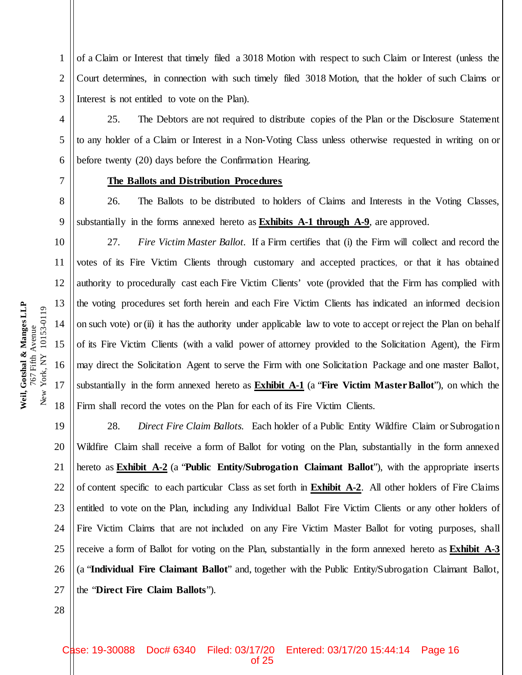of a Claim or Interest that timely filed a 3018 Motion with respect to such Claim or Interest (unless the Court determines, in connection with such timely filed 3018 Motion, that the holder of such Claims or Interest is not entitled to vote on the Plan).

25. The Debtors are not required to distribute copies of the Plan or the Disclosure Statement to any holder of a Claim or Interest in a Non-Voting Class unless otherwise requested in writing on or before twenty (20) days before the Confirmation Hearing.

#### **The Ballots and Distribution Procedures**

26. The Ballots to be distributed to holders of Claims and Interests in the Voting Classes, substantially in the forms annexed hereto as **Exhibits A-1 through A-9**, are approved.

27. *Fire Victim Master Ballot.* If a Firm certifies that (i) the Firm will collect and record the votes of its Fire Victim Clients through customary and accepted practices, or that it has obtained authority to procedurally cast each Fire Victim Clients' vote (provided that the Firm has complied with the voting procedures set forth herein and each Fire Victim Clients has indicated an informed decision on such vote) or (ii) it has the authority under applicable law to vote to accept or reject the Plan on behalf of its Fire Victim Clients (with a valid power of attorney provided to the Solicitation Agent), the Firm may direct the Solicitation Agent to serve the Firm with one Solicitation Package and one master Ballot, substantially in the form annexed hereto as **Exhibit A-1** (a "**Fire Victim Master Ballot**"), on which the Firm shall record the votes on the Plan for each of its Fire Victim Clients.

19 20 21 22 23 24 25 26 27 28. *Direct Fire Claim Ballots.* Each holder of a Public Entity Wildfire Claim or Subrogatio n Wildfire Claim shall receive a form of Ballot for voting on the Plan, substantially in the form annexed hereto as **Exhibit A-2** (a "**Public Entity/Subrogation Claimant Ballot**"), with the appropriate inserts of content specific to each particular Class as set forth in **Exhibit A-2**. All other holders of Fire Claims entitled to vote on the Plan, including any Individual Ballot Fire Victim Clients or any other holders of Fire Victim Claims that are not included on any Fire Victim Master Ballot for voting purposes, shall receive a form of Ballot for voting on the Plan, substantially in the form annexed hereto as **Exhibit A-3** (a "**Individual Fire Claimant Ballot**" and, together with the Public Entity/Subrogation Claimant Ballot, the "**Direct Fire Claim Ballots**").

1

2

3

4

5

6

7

8

9

10

11

12

13

14

15

16

17

18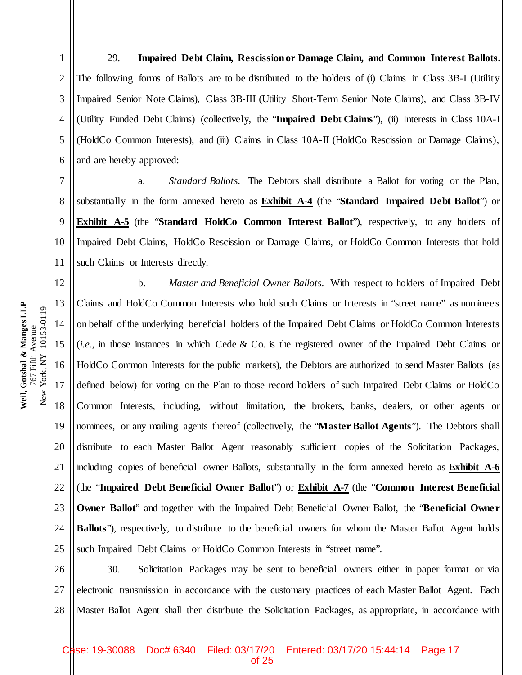1

2

3

29. **Impaired Debt Claim, Rescission or Damage Claim, and Common Interest Ballots.**  The following forms of Ballots are to be distributed to the holders of (i) Claims in Class 3B-I (Utility Impaired Senior Note Claims), Class 3B-III (Utility Short-Term Senior Note Claims), and Class 3B-IV (Utility Funded Debt Claims) (collectively, the "**Impaired Debt Claims**"), (ii) Interests in Class 10A-I (HoldCo Common Interests), and (iii) Claims in Class 10A-II (HoldCo Rescission or Damage Claims), and are hereby approved:

a. *Standard Ballots*. The Debtors shall distribute a Ballot for voting on the Plan, substantially in the form annexed hereto as **Exhibit A-4** (the "**Standard Impaired Debt Ballot**") or **Exhibit A-5** (the "**Standard HoldCo Common Interest Ballot**"), respectively, to any holders of Impaired Debt Claims, HoldCo Rescission or Damage Claims, or HoldCo Common Interests that hold such Claims or Interests directly.

19 20 21 22 23 24 25 b. *Master and Beneficial Owner Ballots*. With respect to holders of Impaired Debt Claims and HoldCo Common Interests who hold such Claims or Interests in "street name" as nominees on behalf of the underlying beneficial holders of the Impaired Debt Claims or HoldCo Common Interests (*i.e.*, in those instances in which Cede & Co. is the registered owner of the Impaired Debt Claims or HoldCo Common Interests for the public markets), the Debtors are authorized to send Master Ballots (as defined below) for voting on the Plan to those record holders of such Impaired Debt Claims or HoldCo Common Interests, including, without limitation, the brokers, banks, dealers, or other agents or nominees, or any mailing agents thereof (collectively, the "**Master Ballot Agents**"). The Debtors shall distribute to each Master Ballot Agent reasonably sufficient copies of the Solicitation Packages, including copies of beneficial owner Ballots, substantially in the form annexed hereto as **Exhibit A-6** (the "**Impaired Debt Beneficial Owner Ballot**") or **Exhibit A-7** (the "**Common Interest Beneficial Owner Ballot**" and together with the Impaired Debt Beneficial Owner Ballot, the "**Beneficial Owner Ballots**"), respectively, to distribute to the beneficial owners for whom the Master Ballot Agent holds such Impaired Debt Claims or HoldCo Common Interests in "street name".

26 27 28 30. Solicitation Packages may be sent to beneficial owners either in paper format or via electronic transmission in accordance with the customary practices of each Master Ballot Agent. Each Master Ballot Agent shall then distribute the Solicitation Packages, as appropriate, in accordance with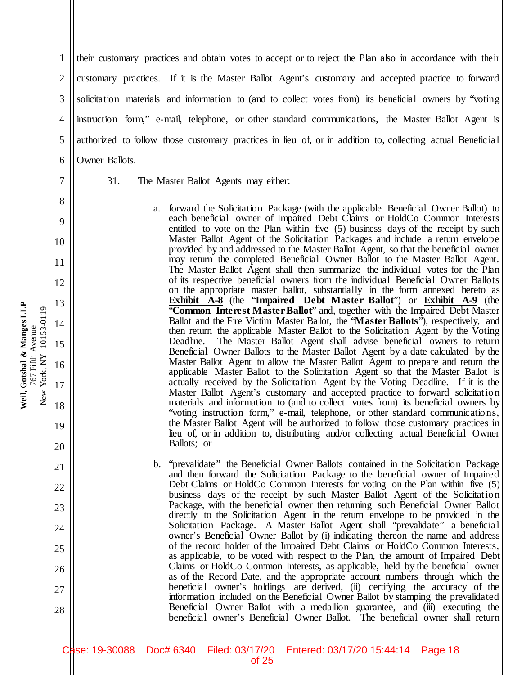their customary practices and obtain votes to accept or to reject the Plan also in accordance with their customary practices. If it is the Master Ballot Agent's customary and accepted practice to forward solicitation materials and information to (and to collect votes from) its beneficial owners by "voting instruction form," e-mail, telephone, or other standard communications, the Master Ballot Agent is authorized to follow those customary practices in lieu of, or in addition to, collecting actual Beneficial Owner Ballots.

1

2

3

4

5

6

7

8

9

10

11

12

13

14

15

16

17

18

19

20

21

22

23

24

25

26

27

28

- 31. The Master Ballot Agents may either:
	- a. forward the Solicitation Package (with the applicable Beneficial Owner Ballot) to each beneficial owner of Impaired Debt Claims or HoldCo Common Interests entitled to vote on the Plan within five (5) business days of the receipt by such Master Ballot Agent of the Solicitation Packages and include a return envelope provided by and addressed to the Master Ballot Agent, so that the beneficial owner may return the completed Beneficial Owner Ballot to the Master Ballot Agent. The Master Ballot Agent shall then summarize the individual votes for the Plan of its respective beneficial owners from the individual Beneficial Owner Ballots on the appropriate master ballot, substantially in the form annexed hereto as **Exhibit A-8** (the "**Impaired Debt Master Ballot**") or **Exhibit A-9** (the "**Common Interest Master Ballot**" and, together with the Impaired Debt Master Ballot and the Fire Victim Master Ballot, the "**Master Ballots**"), respectively, and then return the applicable Master Ballot to the Solicitation Agent by the Voting Deadline. The Master Ballot Agent shall advise beneficial owners to return Beneficial Owner Ballots to the Master Ballot Agent by a date calculated by the Master Ballot Agent to allow the Master Ballot Agent to prepare and return the applicable Master Ballot to the Solicitation Agent so that the Master Ballot is actually received by the Solicitation Agent by the Voting Deadline. If it is the Master Ballot Agent's customary and accepted practice to forward solicitation materials and information to (and to collect votes from) its beneficial owners by "voting instruction form," e-mail, telephone, or other standard communicatio ns, the Master Ballot Agent will be authorized to follow those customary practices in lieu of, or in addition to, distributing and/or collecting actual Beneficial Owner Ballots; or
	- b. "prevalidate" the Beneficial Owner Ballots contained in the Solicitation Package and then forward the Solicitation Package to the beneficial owner of Impaired Debt Claims or HoldCo Common Interests for voting on the Plan within five (5) business days of the receipt by such Master Ballot Agent of the Solicitation Package, with the beneficial owner then returning such Beneficial Owner Ballot directly to the Solicitation Agent in the return envelope to be provided in the Solicitation Package. A Master Ballot Agent shall "prevalidate" a beneficial owner's Beneficial Owner Ballot by (i) indicating thereon the name and address of the record holder of the Impaired Debt Claims or HoldCo Common Interests, as applicable, to be voted with respect to the Plan, the amount of Impaired Debt Claims or HoldCo Common Interests, as applicable, held by the beneficial owner as of the Record Date, and the appropriate account numbers through which the beneficial owner's holdings are derived, (ii) certifying the accuracy of the information included on the Beneficial Owner Ballot by stamping the prevalidated Beneficial Owner Ballot with a medallion guarantee, and (iii) executing the beneficial owner's Beneficial Owner Ballot. The beneficial owner shall return

Case: 19-30088 Doc# 6340 Filed: 03/17/20 Entered: 03/17/20 15:44:14 Page 18 of 25

Weil, Gotshal & Manges LLP **Weil, Gotshal & Manges LLP** New York, NY 10153-0119 New York, NY 10153-0119 767 Fifth Avenue 767 Fifth Avenue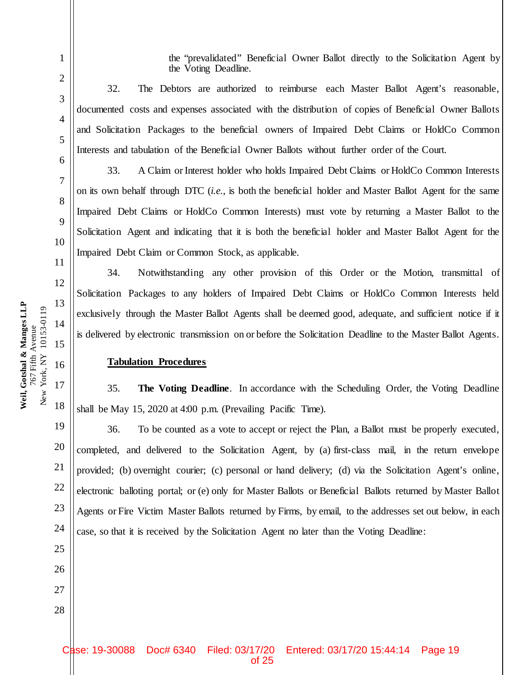the "prevalidated" Beneficial Owner Ballot directly to the Solicitation Agent by the Voting Deadline.

32. The Debtors are authorized to reimburse each Master Ballot Agent's reasonable, documented costs and expenses associated with the distribution of copies of Beneficial Owner Ballots and Solicitation Packages to the beneficial owners of Impaired Debt Claims or HoldCo Common Interests and tabulation of the Beneficial Owner Ballots without further order of the Court.

33. A Claim or Interest holder who holds Impaired Debt Claims or HoldCo Common Interests on its own behalf through DTC (*i.e.*, is both the beneficial holder and Master Ballot Agent for the same Impaired Debt Claims or HoldCo Common Interests) must vote by returning a Master Ballot to the Solicitation Agent and indicating that it is both the beneficial holder and Master Ballot Agent for the Impaired Debt Claim or Common Stock, as applicable.

34. Notwithstanding any other provision of this Order or the Motion, transmittal of Solicitation Packages to any holders of Impaired Debt Claims or HoldCo Common Interests held exclusively through the Master Ballot Agents shall be deemed good, adequate, and sufficient notice if it is delivered by electronic transmission on or before the Solicitation Deadline to the Master Ballot Agents.

#### **Tabulation Procedures**

35. **The Voting Deadline**. In accordance with the Scheduling Order, the Voting Deadline shall be May 15, 2020 at 4:00 p.m. (Prevailing Pacific Time).

36. To be counted as a vote to accept or reject the Plan, a Ballot must be properly executed, completed, and delivered to the Solicitation Agent, by (a) first-class mail, in the return envelope provided; (b) overnight courier; (c) personal or hand delivery; (d) via the Solicitation Agent's online, electronic balloting portal; or (e) only for Master Ballots or Beneficial Ballots returned by Master Ballot Agents or Fire Victim Master Ballots returned by Firms, by email, to the addresses set out below, in each case, so that it is received by the Solicitation Agent no later than the Voting Deadline:

1

2

3

4

5

6

7

8

9

10

11

12

13

14

15

16

17

18

19

20

21

22

23

24

25

26

27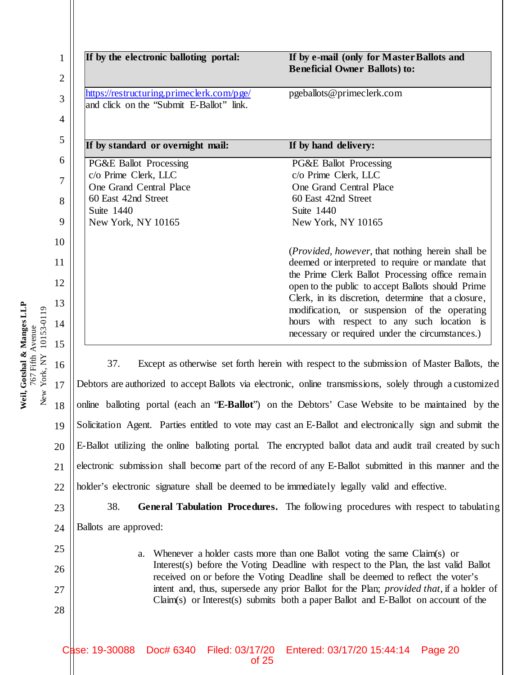| 5<br>6<br>7<br>8<br>9<br>10<br>11<br>14<br>15<br>16<br>17<br>18 |
|-----------------------------------------------------------------|
| 12<br>13                                                        |

23

24

25

26

27

28

| If by the electronic balloting portal:                                                | If by e-mail (only for Master Ballots and<br><b>Beneficial Owner Ballots) to:</b> |
|---------------------------------------------------------------------------------------|-----------------------------------------------------------------------------------|
| https://restructuring.primeclerk.com/pge/<br>and click on the "Submit E-Ballot" link. | pgeballots@primeclerk.com                                                         |
| If by standard or overnight mail:                                                     | If by hand delivery:                                                              |
| <b>PG&amp;E Ballot Processing</b>                                                     | <b>PG&amp;E Ballot Processing</b>                                                 |
| c/o Prime Clerk, LLC                                                                  | c/o Prime Clerk, LLC                                                              |
| One Grand Central Place                                                               | One Grand Central Place                                                           |
| 60 East 42nd Street                                                                   | 60 East 42nd Street                                                               |
| Suite 1440                                                                            | Suite 1440                                                                        |
| New York, NY 10165                                                                    | New York, NY 10165                                                                |
|                                                                                       | ( <i>Provided, however</i> , that nothing herein shall be                         |
|                                                                                       | deemed or interpreted to require or mandate that                                  |
|                                                                                       | the Prime Clerk Ballot Processing office remain                                   |
|                                                                                       | open to the public to accept Ballots should Prime                                 |
|                                                                                       | Clerk, in its discretion, determine that a closure,                               |
|                                                                                       | modification, or suspension of the operating                                      |
|                                                                                       | hours with respect to any such location is                                        |
|                                                                                       |                                                                                   |

18 19 20 21 22 37. Except as otherwise set forth herein with respect to the submission of Master Ballots, the Debtors are authorized to accept Ballots via electronic, online transmissions, solely through a customized online balloting portal (each an "**E-Ballot**") on the Debtors' Case Website to be maintained by the Solicitation Agent. Parties entitled to vote may cast an E-Ballot and electronically sign and submit the E-Ballot utilizing the online balloting portal. The encrypted ballot data and audit trail created by such electronic submission shall become part of the record of any E-Ballot submitted in this manner and the holder's electronic signature shall be deemed to be immediately legally valid and effective.

38. **General Tabulation Procedures.** The following procedures with respect to tabulating Ballots are approved:

> a. Whenever a holder casts more than one Ballot voting the same Claim(s) or Interest(s) before the Voting Deadline with respect to the Plan, the last valid Ballot received on or before the Voting Deadline shall be deemed to reflect the voter's intent and, thus, supersede any prior Ballot for the Plan; *provided that*, if a holder of Claim(s) or Interest(s) submits both a paper Ballot and E-Ballot on account of the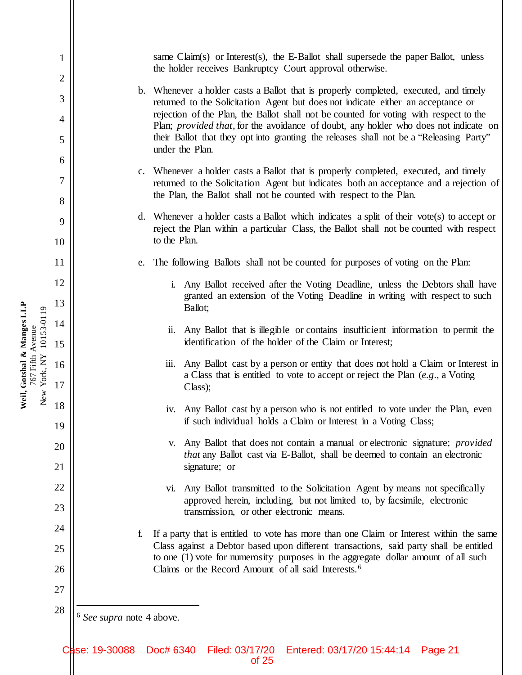1 2 3 4 5 6 7 8 9 10 11 12 13 14 15 16 17 18 19 20 21 22 23 24 25 26 27 28 same Claim(s) or Interest(s), the E-Ballot shall supersede the paper Ballot, unless the holder receives Bankruptcy Court approval otherwise. b. Whenever a holder casts a Ballot that is properly completed, executed, and timely returned to the Solicitation Agent but does not indicate either an acceptance or rejection of the Plan, the Ballot shall not be counted for voting with respect to the Plan; *provided that*, for the avoidance of doubt, any holder who does not indicate on their Ballot that they opt into granting the releases shall not be a "Releasing Party" under the Plan. c. Whenever a holder casts a Ballot that is properly completed, executed, and timely returned to the Solicitation Agent but indicates both an acceptance and a rejection of the Plan, the Ballot shall not be counted with respect to the Plan. d. Whenever a holder casts a Ballot which indicates a split of their vote(s) to accept or reject the Plan within a particular Class, the Ballot shall not be counted with respect to the Plan. e. The following Ballots shall not be counted for purposes of voting on the Plan: i. Any Ballot received after the Voting Deadline, unless the Debtors shall have granted an extension of the Voting Deadline in writing with respect to such Ballot; ii. Any Ballot that is illegible or contains insufficient information to permit the identification of the holder of the Claim or Interest; iii. Any Ballot cast by a person or entity that does not hold a Claim or Interest in a Class that is entitled to vote to accept or reject the Plan (*e.g*., a Voting Class); iv. Any Ballot cast by a person who is not entitled to vote under the Plan, even if such individual holds a Claim or Interest in a Voting Class; v. Any Ballot that does not contain a manual or electronic signature; *provided that* any Ballot cast via E-Ballot, shall be deemed to contain an electronic signature; or vi. Any Ballot transmitted to the Solicitation Agent by means not specifically approved herein, including, but not limited to, by facsimile, electronic transmission, or other electronic means. f. If a party that is entitled to vote has more than one Claim or Interest within the same Class against a Debtor based upon different transactions, said party shall be entitled to one (1) vote for numerosity purposes in the aggregate dollar amount of all such Claims or the Record Amount of all said Interests.6 6 *See supra* note 4 above.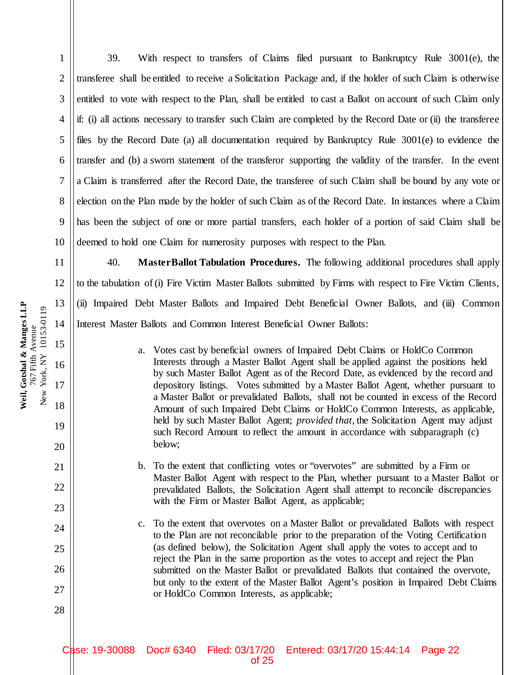4 5 6 7 8 9 10 11 12 13 14 15 if: (i) all actions necessary to transfer such Claim are completed by the Record Date or (ii) the transferee files by the Record Date (a) all documentation required by Bankruptcy Rule 3001(e) to evidence the transfer and (b) a sworn statement of the transferor supporting the validity of the transfer. In the event a Claim is transferred after the Record Date, the transferee of such Claim shall be bound by any vote or election on the Plan made by the holder of such Claim as of the Record Date. In instances where a Claim has been the subject of one or more partial transfers, each holder of a portion of said Claim shall be deemed to hold one Claim for numerosity purposes with respect to the Plan. 40. **Master Ballot Tabulation Procedures.** The following additional procedures shall apply to the tabulation of (i) Fire Victim Master Ballots submitted by Firms with respect to Fire Victim Clients, (ii) Impaired Debt Master Ballots and Impaired Debt Beneficial Owner Ballots, and (iii) Common Interest Master Ballots and Common Interest Beneficial Owner Ballots:

a. Votes cast by beneficial owners of Impaired Debt Claims or HoldCo Common Interests through a Master Ballot Agent shall be applied against the positions held by such Master Ballot Agent as of the Record Date, as evidenced by the record and depository listings. Votes submitted by a Master Ballot Agent, whether pursuant to a Master Ballot or prevalidated Ballots, shall not be counted in excess of the Record Amount of such Impaired Debt Claims or HoldCo Common Interests, as applicable, held by such Master Ballot Agent; *provided that*, the Solicitation Agent may adjust such Record Amount to reflect the amount in accordance with subparagraph (c) below;

39. With respect to transfers of Claims filed pursuant to Bankruptcy Rule 3001(e), the

transferee shall be entitled to receive a Solicitation Package and, if the holder of such Claim is otherwise

entitled to vote with respect to the Plan, shall be entitled to cast a Ballot on account of such Claim only

- b. To the extent that conflicting votes or "overvotes" are submitted by a Firm or Master Ballot Agent with respect to the Plan, whether pursuant to a Master Ballot or prevalidated Ballots, the Solicitation Agent shall attempt to reconcile discrepancies with the Firm or Master Ballot Agent, as applicable;
- c. To the extent that overvotes on a Master Ballot or prevalidated Ballots with respect to the Plan are not reconcilable prior to the preparation of the Voting Certification (as defined below), the Solicitation Agent shall apply the votes to accept and to reject the Plan in the same proportion as the votes to accept and reject the Plan submitted on the Master Ballot or prevalidated Ballots that contained the overvote, but only to the extent of the Master Ballot Agent's position in Impaired Debt Claims or HoldCo Common Interests, as applicable;

of 25

Case: 19-30088 Doc# 6340 Filed: 03/17/20 Entered: 03/17/20 15:44:14 Page 22

Weil, Gotshal & Manges LLP **Weil, Gotshal & Manges LLP** New York, NY 10153-0119 New York, NY 10153-0119 767 Fifth Avenue 767 Fifth Avenue

16

17

18

19

20

21

22

23

24

25

26

27

28

1

2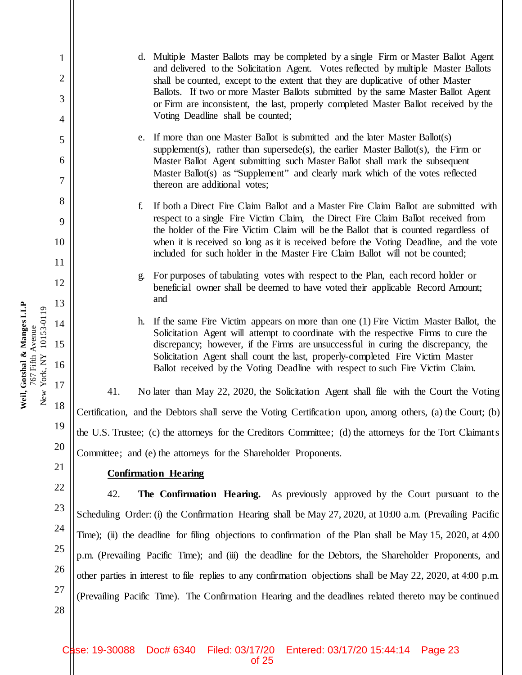d. Multiple Master Ballots may be completed by a single Firm or Master Ballot Agent and delivered to the Solicitation Agent. Votes reflected by multiple Master Ballots shall be counted, except to the extent that they are duplicative of other Master Ballots. If two or more Master Ballots submitted by the same Master Ballot Agent or Firm are inconsistent, the last, properly completed Master Ballot received by the Voting Deadline shall be counted;

e. If more than one Master Ballot is submitted and the later Master Ballot(s) supplement(s), rather than supersede(s), the earlier Master Ballot(s), the Firm or Master Ballot Agent submitting such Master Ballot shall mark the subsequent Master Ballot(s) as "Supplement" and clearly mark which of the votes reflected thereon are additional votes;

f. If both a Direct Fire Claim Ballot and a Master Fire Claim Ballot are submitted with respect to a single Fire Victim Claim, the Direct Fire Claim Ballot received from the holder of the Fire Victim Claim will be the Ballot that is counted regardless of when it is received so long as it is received before the Voting Deadline, and the vote included for such holder in the Master Fire Claim Ballot will not be counted;

g. For purposes of tabulating votes with respect to the Plan, each record holder or beneficial owner shall be deemed to have voted their applicable Record Amount; and

h. If the same Fire Victim appears on more than one (1) Fire Victim Master Ballot, the Solicitation Agent will attempt to coordinate with the respective Firms to cure the discrepancy; however, if the Firms are unsuccessful in curing the discrepancy, the Solicitation Agent shall count the last, properly-completed Fire Victim Master Ballot received by the Voting Deadline with respect to such Fire Victim Claim.

41. No later than May 22, 2020, the Solicitation Agent shall file with the Court the Voting Certification, and the Debtors shall serve the Voting Certification upon, among others, (a) the Court; (b) the U.S. Trustee; (c) the attorneys for the Creditors Committee; (d) the attorneys for the Tort Claimants Committee; and (e) the attorneys for the Shareholder Proponents.

## **Confirmation Hearing**

42. **The Confirmation Hearing.** As previously approved by the Court pursuant to the Scheduling Order: (i) the Confirmation Hearing shall be May 27, 2020, at 10:00 a.m. (Prevailing Pacific Time); (ii) the deadline for filing objections to confirmation of the Plan shall be May 15, 2020, at 4:00 p.m. (Prevailing Pacific Time); and (iii) the deadline for the Debtors, the Shareholder Proponents, and other parties in interest to file replies to any confirmation objections shall be May 22, 2020, at 4:00 p.m. (Prevailing Pacific Time). The Confirmation Hearing and the deadlines related thereto may be continued

Weil, Gotshal & Manges LLP **Weil, Gotshal & Manges LLP** New York, NY 10153-0119 New York, NY 10153-0119 767 Fifth Avenue 767 Fifth Avenue

1

2

3

4

5

6

7

8

9

10

11

12

13

14

15

16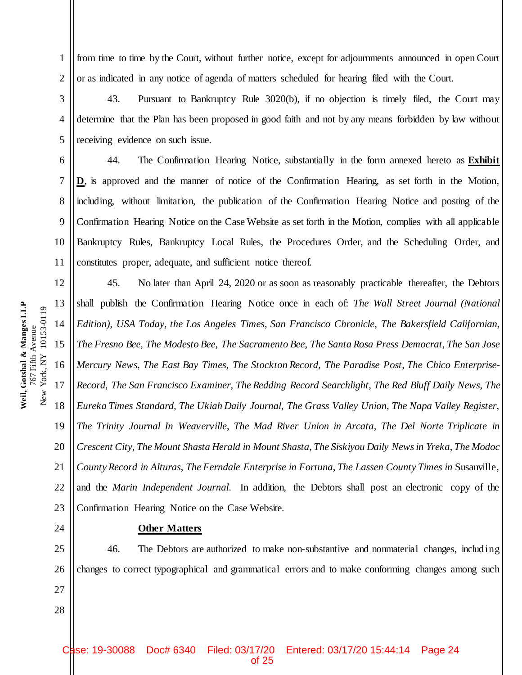from time to time by the Court, without further notice, except for adjournments announced in open Court or as indicated in any notice of agenda of matters scheduled for hearing filed with the Court.

43. Pursuant to Bankruptcy Rule 3020(b), if no objection is timely filed, the Court may determine that the Plan has been proposed in good faith and not by any means forbidden by law without receiving evidence on such issue.

44. The Confirmation Hearing Notice, substantially in the form annexed hereto as **Exhibit D**, is approved and the manner of notice of the Confirmation Hearing, as set forth in the Motion, including, without limitation, the publication of the Confirmation Hearing Notice and posting of the Confirmation Hearing Notice on the Case Website as set forth in the Motion, complies with all applicable Bankruptcy Rules, Bankruptcy Local Rules, the Procedures Order, and the Scheduling Order, and constitutes proper, adequate, and sufficient notice thereof.

45. No later than April 24, 2020 or as soon as reasonably practicable thereafter, the Debtors shall publish the Confirmation Hearing Notice once in each of: *The Wall Street Journal (National Edition)*, *USA Today*, *the Los Angeles Times*, *San Francisco Chronicle*, *The Bakersfield Californian*, *The Fresno Bee*, *The Modesto Bee*, *The Sacramento Bee*, *The Santa Rosa Press Democrat*, *The San Jose Mercury News*, *The East Bay Times*, *The Stockton Record*, *The Paradise Post*, *The Chico Enterprise-Record*, *The San Francisco Examiner*, *The Redding Record Searchlight*, *The Red Bluff Daily News*, *The Eureka Times Standard*, *The Ukiah Daily Journal*, *The Grass Valley Union*, *The Napa Valley Register*, *The Trinity Journal In Weaverville*, *The Mad River Union in Arcata*, *The Del Norte Triplicate in Crescent City*, *The Mount Shasta Herald in Mount Shasta*, *The Siskiyou Daily News in Yreka*, *The Modoc County Record in Alturas*, *The Ferndale Enterprise in Fortuna*, *The Lassen County Times in* Susanville, and the *Marin Independent Journal*. In addition, the Debtors shall post an electronic copy of the Confirmation Hearing Notice on the Case Website.

**Other Matters**

25 26 27 46. The Debtors are authorized to make non-substantive and nonmaterial changes, includ ing changes to correct typographical and grammatical errors and to make conforming changes among such

Weil, Gotshal & Manges LLP **Weil, Gotshal & Manges LLP** New York, NY 10153-0119 New York, NY 10153-0119 767 Fifth Avenue 767 Fifth Avenue

1

2

3

4

5

6

7

8

9

10

11

12

13

14

15

16

17

18

19

20

21

22

23

24